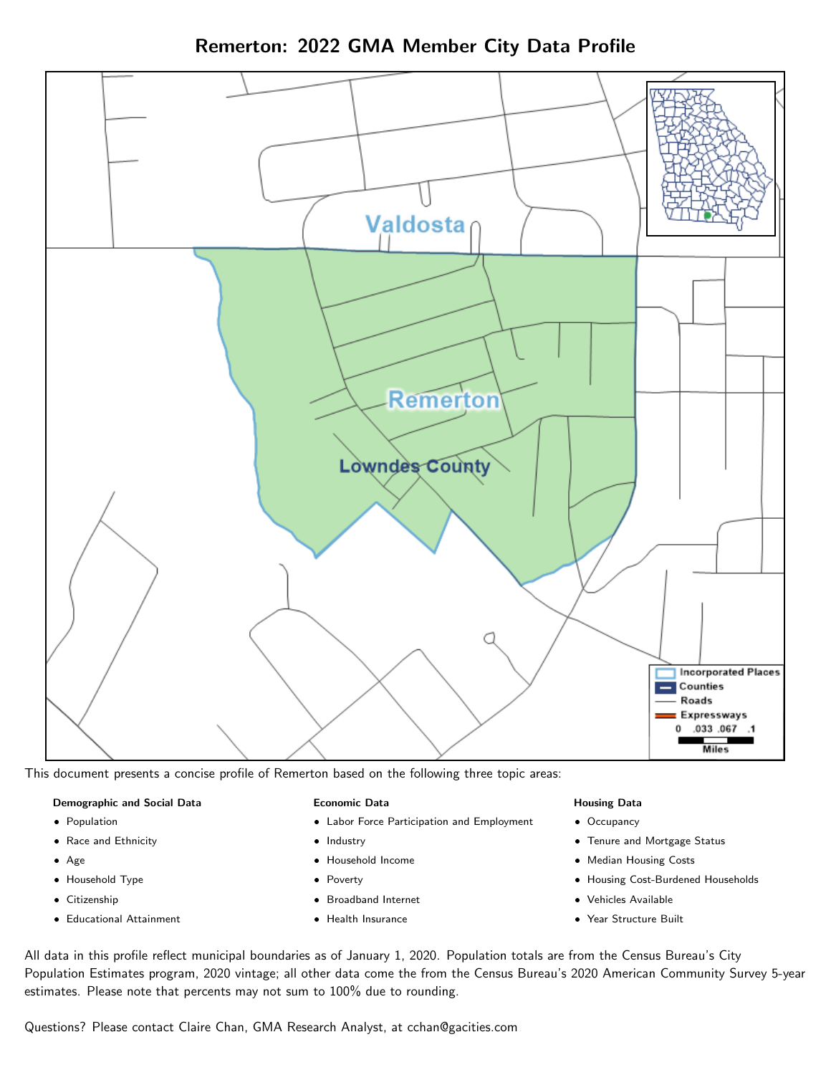Remerton: 2022 GMA Member City Data Profile



This document presents a concise profile of Remerton based on the following three topic areas:

#### Demographic and Social Data

- **•** Population
- Race and Ethnicity
- Age
- Household Type
- **Citizenship**
- Educational Attainment

#### Economic Data

- Labor Force Participation and Employment
- Industry
- Household Income
- Poverty
- Broadband Internet
- Health Insurance

### Housing Data

- Occupancy
- Tenure and Mortgage Status
- Median Housing Costs
- Housing Cost-Burdened Households
- Vehicles Available
- Year Structure Built

All data in this profile reflect municipal boundaries as of January 1, 2020. Population totals are from the Census Bureau's City Population Estimates program, 2020 vintage; all other data come the from the Census Bureau's 2020 American Community Survey 5-year estimates. Please note that percents may not sum to 100% due to rounding.

Questions? Please contact Claire Chan, GMA Research Analyst, at [cchan@gacities.com.](mailto:cchan@gacities.com)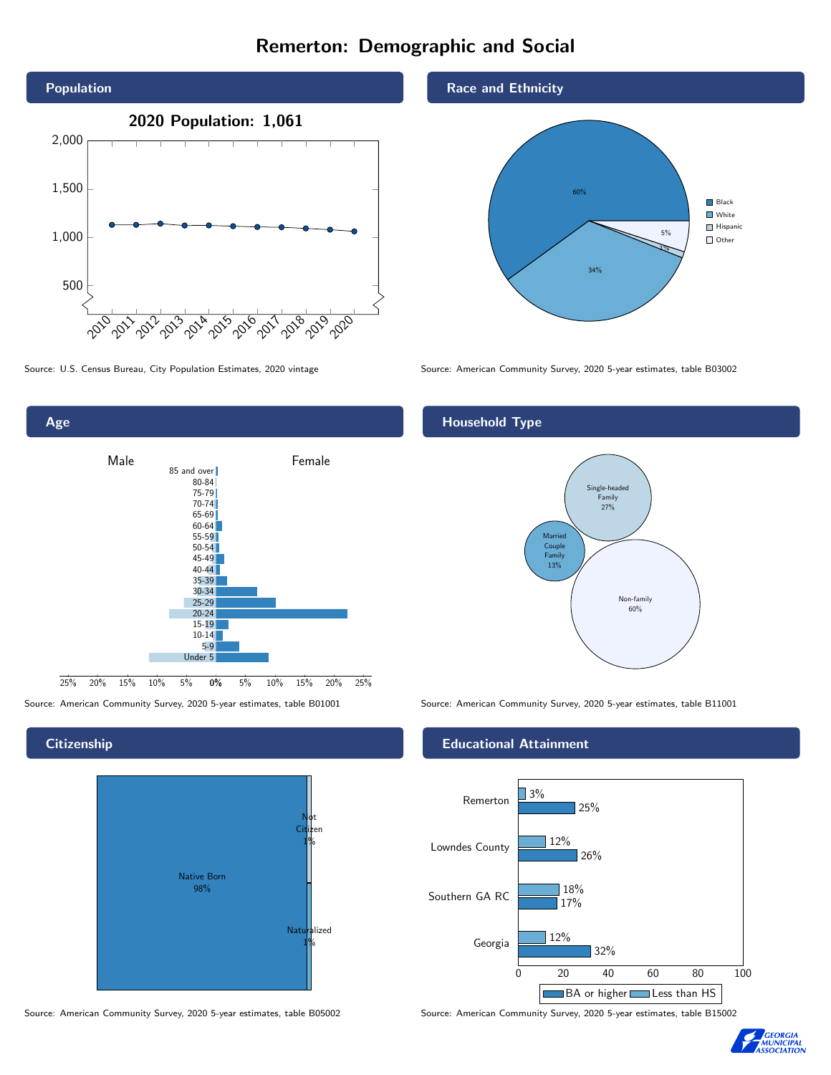# Remerton: Demographic and Social



0% 5% 10% 15% 20% 25% Male **Female** 25% 20% 15% 10% 5% 85 and over 80-84 75-79 70-74 65-69 60-64 55-59 50-54 45-49 40-44 35-39 30-34 25-29 20-24 15-19  $10-14$ 5-9 Under 5

**Citizenship** 

Age





Race and Ethnicity



Source: U.S. Census Bureau, City Population Estimates, 2020 vintage Source: American Community Survey, 2020 5-year estimates, table B03002

## Household Type



Source: American Community Survey, 2020 5-year estimates, table B01001 Source: American Community Survey, 2020 5-year estimates, table B11001

### Educational Attainment



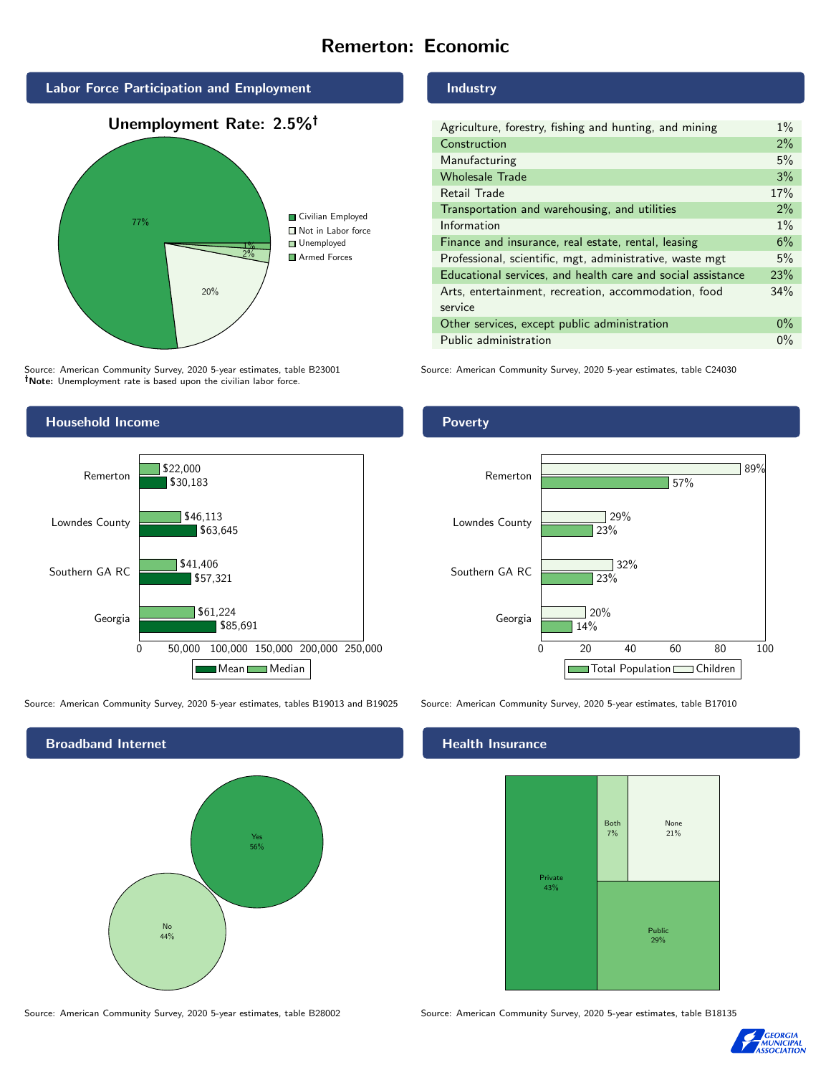# Remerton: Economic



Source: American Community Survey, 2020 5-year estimates, table B23001 Note: Unemployment rate is based upon the civilian labor force.

## Industry

| Agriculture, forestry, fishing and hunting, and mining      | $1\%$ |
|-------------------------------------------------------------|-------|
| Construction                                                | $2\%$ |
| Manufacturing                                               | 5%    |
| <b>Wholesale Trade</b>                                      | 3%    |
| Retail Trade                                                | 17%   |
| Transportation and warehousing, and utilities               | $2\%$ |
| Information                                                 | $1\%$ |
| Finance and insurance, real estate, rental, leasing         | 6%    |
| Professional, scientific, mgt, administrative, waste mgt    | 5%    |
| Educational services, and health care and social assistance | 23%   |
| Arts, entertainment, recreation, accommodation, food        | 34%   |
| service                                                     |       |
| Other services, except public administration                | $0\%$ |
| Public administration                                       | $0\%$ |

Source: American Community Survey, 2020 5-year estimates, table C24030



Source: American Community Survey, 2020 5-year estimates, tables B19013 and B19025 Source: American Community Survey, 2020 5-year estimates, table B17010



Poverty



### Health Insurance



Source: American Community Survey, 2020 5-year estimates, table B28002 Source: American Community Survey, 2020 5-year estimates, table B18135